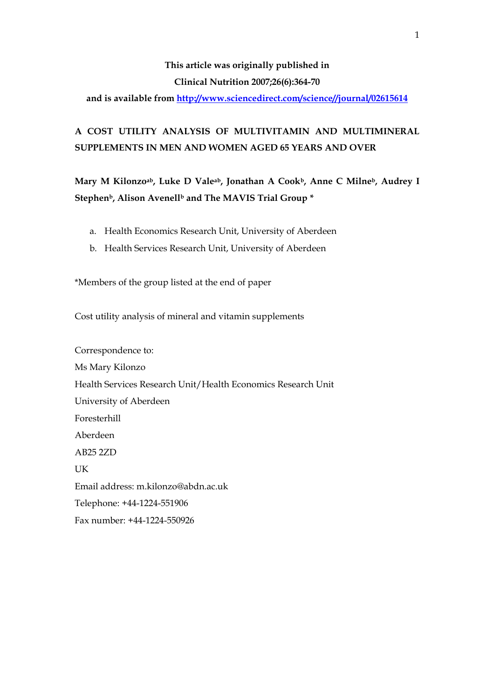# **This article was originally published in Clinical Nutrition 2007;26(6):364-70**

**and is available from <http://www.sciencedirect.com/science//journal/02615614>**

# **A COST UTILITY ANALYSIS OF MULTIVITAMIN AND MULTIMINERAL SUPPLEMENTS IN MEN AND WOMEN AGED 65 YEARS AND OVER**

**Mary M Kilonzoab, Luke D Valeab, Jonathan A Cookb, Anne C Milneb, Audrey I**  Stephen<sup>b</sup>, Alison Avenell<sup>b</sup> and The MAVIS Trial Group \*

- a. Health Economics Research Unit, University of Aberdeen
- b. Health Services Research Unit, University of Aberdeen

\*Members of the group listed at the end of paper

Cost utility analysis of mineral and vitamin supplements

Correspondence to: Ms Mary Kilonzo Health Services Research Unit/Health Economics Research Unit University of Aberdeen Foresterhill Aberdeen AB25 2ZD **UK** Email address: m.kilonzo@abdn.ac.uk Telephone: +44-1224-551906 Fax number: +44-1224-550926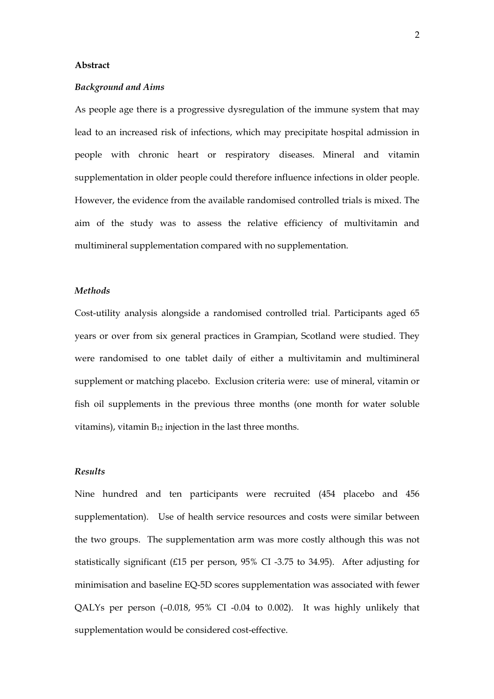### **Abstract**

## *Background and Aims*

As people age there is a progressive dysregulation of the immune system that may lead to an increased risk of infections, which may precipitate hospital admission in people with chronic heart or respiratory diseases. Mineral and vitamin supplementation in older people could therefore influence infections in older people. However, the evidence from the available randomised controlled trials is mixed. The aim of the study was to assess the relative efficiency of multivitamin and multimineral supplementation compared with no supplementation.

#### *Methods*

Cost-utility analysis alongside a randomised controlled trial. Participants aged 65 years or over from six general practices in Grampian, Scotland were studied. They were randomised to one tablet daily of either a multivitamin and multimineral supplement or matching placebo. Exclusion criteria were: use of mineral, vitamin or fish oil supplements in the previous three months (one month for water soluble vitamins), vitamin  $B_{12}$  injection in the last three months.

## *Results*

Nine hundred and ten participants were recruited (454 placebo and 456 supplementation). Use of health service resources and costs were similar between the two groups. The supplementation arm was more costly although this was not statistically significant (£15 per person, 95% CI -3.75 to 34.95). After adjusting for minimisation and baseline EQ-5D scores supplementation was associated with fewer QALYs per person (–0.018, 95% CI -0.04 to 0.002). It was highly unlikely that supplementation would be considered cost-effective.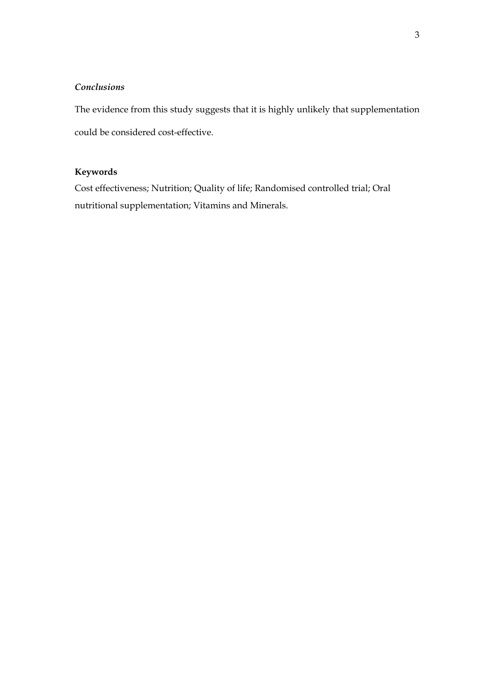## *Conclusions*

The evidence from this study suggests that it is highly unlikely that supplementation could be considered cost-effective.

## **Keywords**

Cost effectiveness; Nutrition; Quality of life; Randomised controlled trial; Oral nutritional supplementation; Vitamins and Minerals.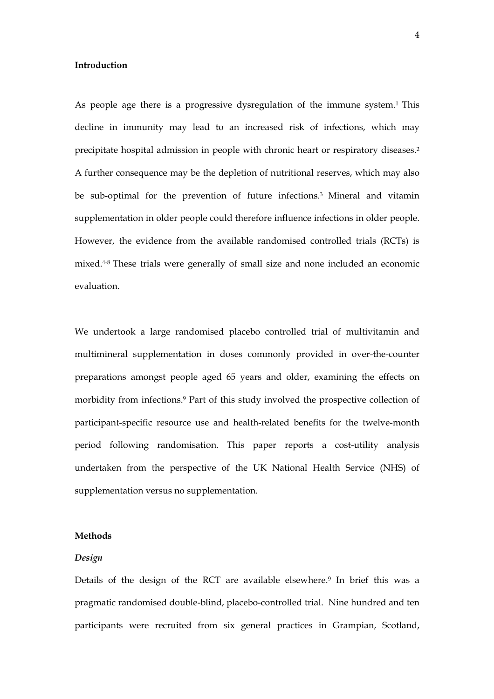#### **Introduction**

As people age there is a progressive dysregulation of the immune system.1 This decline in immunity may lead to an increased risk of infections, which may precipitate hospital admission in people with chronic heart or respiratory diseases.2 A further consequence may be the depletion of nutritional reserves, which may also be sub-optimal for the prevention of future infections.3 Mineral and vitamin supplementation in older people could therefore influence infections in older people. However, the evidence from the available randomised controlled trials (RCTs) is mixed.4-8 These trials were generally of small size and none included an economic evaluation.

We undertook a large randomised placebo controlled trial of multivitamin and multimineral supplementation in doses commonly provided in over-the-counter preparations amongst people aged 65 years and older, examining the effects on morbidity from infections.9 Part of this study involved the prospective collection of participant-specific resource use and health-related benefits for the twelve-month period following randomisation. This paper reports a cost-utility analysis undertaken from the perspective of the UK National Health Service (NHS) of supplementation versus no supplementation.

#### **Methods**

## *Design*

Details of the design of the RCT are available elsewhere.9 In brief this was a pragmatic randomised double-blind, placebo-controlled trial. Nine hundred and ten participants were recruited from six general practices in Grampian, Scotland,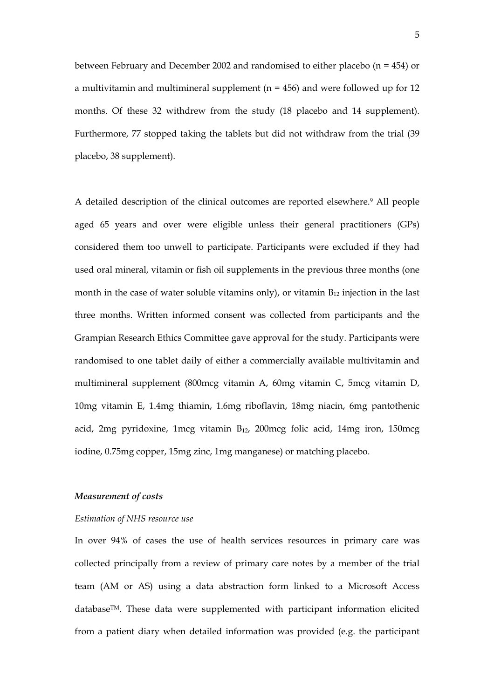between February and December 2002 and randomised to either placebo (n = 454) or a multivitamin and multimineral supplement ( $n = 456$ ) and were followed up for 12 months. Of these 32 withdrew from the study (18 placebo and 14 supplement). Furthermore, 77 stopped taking the tablets but did not withdraw from the trial (39 placebo, 38 supplement).

A detailed description of the clinical outcomes are reported elsewhere.9 All people aged 65 years and over were eligible unless their general practitioners (GPs) considered them too unwell to participate. Participants were excluded if they had used oral mineral, vitamin or fish oil supplements in the previous three months (one month in the case of water soluble vitamins only), or vitamin  $B_{12}$  injection in the last three months. Written informed consent was collected from participants and the Grampian Research Ethics Committee gave approval for the study. Participants were randomised to one tablet daily of either a commercially available multivitamin and multimineral supplement (800mcg vitamin A, 60mg vitamin C, 5mcg vitamin D, 10mg vitamin E, 1.4mg thiamin, 1.6mg riboflavin, 18mg niacin, 6mg pantothenic acid, 2mg pyridoxine, 1mcg vitamin  $B_{12}$ , 200mcg folic acid, 14mg iron, 150mcg iodine, 0.75mg copper, 15mg zinc, 1mg manganese) or matching placebo.

### *Measurement of costs*

#### *Estimation of NHS resource use*

In over 94% of cases the use of health services resources in primary care was collected principally from a review of primary care notes by a member of the trial team (AM or AS) using a data abstraction form linked to a Microsoft Access databaseTM. These data were supplemented with participant information elicited from a patient diary when detailed information was provided (e.g. the participant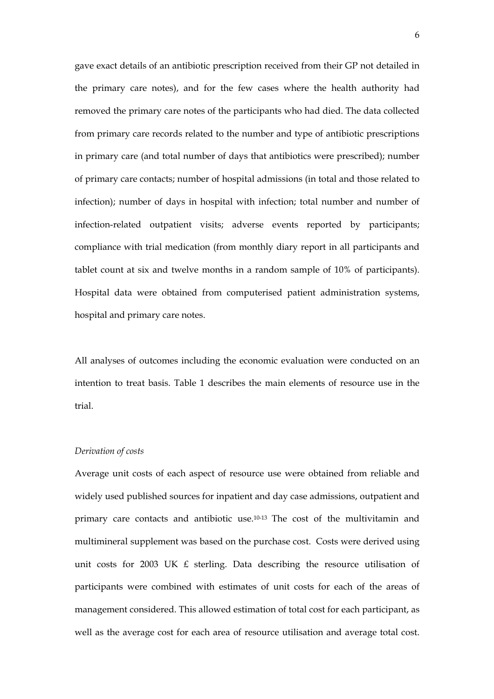gave exact details of an antibiotic prescription received from their GP not detailed in the primary care notes), and for the few cases where the health authority had removed the primary care notes of the participants who had died. The data collected from primary care records related to the number and type of antibiotic prescriptions in primary care (and total number of days that antibiotics were prescribed); number of primary care contacts; number of hospital admissions (in total and those related to infection); number of days in hospital with infection; total number and number of infection-related outpatient visits; adverse events reported by participants; compliance with trial medication (from monthly diary report in all participants and tablet count at six and twelve months in a random sample of 10% of participants). Hospital data were obtained from computerised patient administration systems, hospital and primary care notes.

All analyses of outcomes including the economic evaluation were conducted on an intention to treat basis. Table 1 describes the main elements of resource use in the trial.

### *Derivation of costs*

Average unit costs of each aspect of resource use were obtained from reliable and widely used published sources for inpatient and day case admissions, outpatient and primary care contacts and antibiotic use.10-13 The cost of the multivitamin and multimineral supplement was based on the purchase cost. Costs were derived using unit costs for 2003 UK  $E$  sterling. Data describing the resource utilisation of participants were combined with estimates of unit costs for each of the areas of management considered. This allowed estimation of total cost for each participant, as well as the average cost for each area of resource utilisation and average total cost.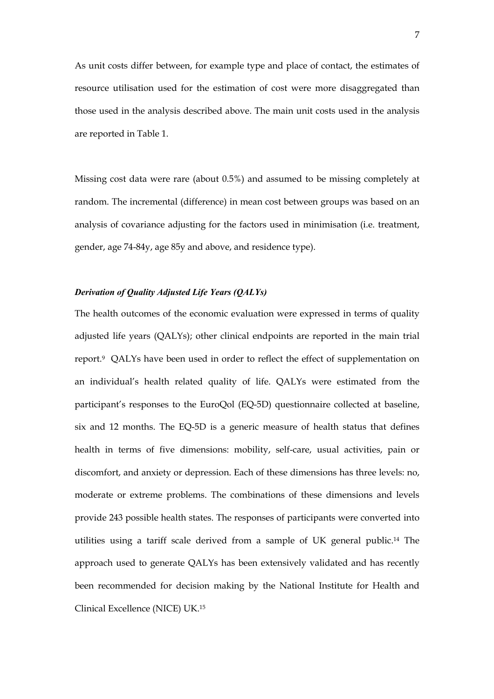As unit costs differ between, for example type and place of contact, the estimates of resource utilisation used for the estimation of cost were more disaggregated than those used in the analysis described above. The main unit costs used in the analysis are reported in Table 1.

Missing cost data were rare (about 0.5%) and assumed to be missing completely at random. The incremental (difference) in mean cost between groups was based on an analysis of covariance adjusting for the factors used in minimisation (i.e. treatment, gender, age 74-84y, age 85y and above, and residence type).

## *Derivation of Quality Adjusted Life Years (QALYs)*

The health outcomes of the economic evaluation were expressed in terms of quality adjusted life years (QALYs); other clinical endpoints are reported in the main trial report.9 QALYs have been used in order to reflect the effect of supplementation on an individual's health related quality of life. QALYs were estimated from the participant's responses to the EuroQol (EQ-5D) questionnaire collected at baseline, six and 12 months. The EQ-5D is a generic measure of health status that defines health in terms of five dimensions: mobility, self-care, usual activities, pain or discomfort, and anxiety or depression. Each of these dimensions has three levels: no, moderate or extreme problems. The combinations of these dimensions and levels provide 243 possible health states. The responses of participants were converted into utilities using a tariff scale derived from a sample of UK general public.14 The approach used to generate QALYs has been extensively validated and has recently been recommended for decision making by the National Institute for Health and Clinical Excellence (NICE) UK.15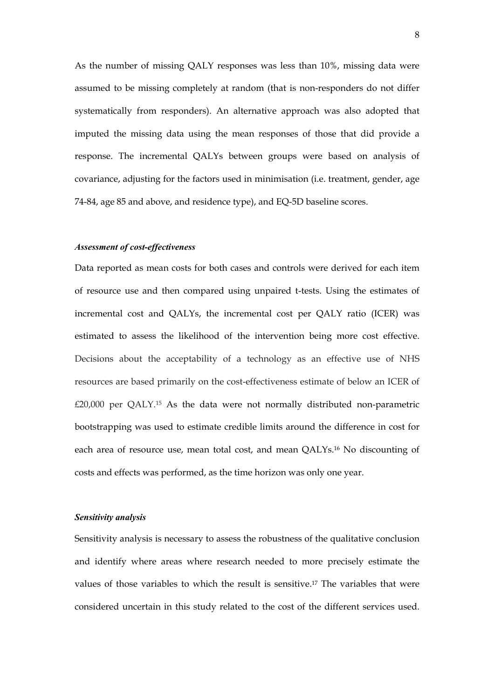As the number of missing QALY responses was less than 10%, missing data were assumed to be missing completely at random (that is non-responders do not differ systematically from responders). An alternative approach was also adopted that imputed the missing data using the mean responses of those that did provide a response. The incremental QALYs between groups were based on analysis of covariance, adjusting for the factors used in minimisation (i.e. treatment, gender, age 74-84, age 85 and above, and residence type), and EQ-5D baseline scores.

#### *Assessment of cost-effectiveness*

Data reported as mean costs for both cases and controls were derived for each item of resource use and then compared using unpaired t-tests. Using the estimates of incremental cost and QALYs, the incremental cost per QALY ratio (ICER) was estimated to assess the likelihood of the intervention being more cost effective. Decisions about the acceptability of a technology as an effective use of NHS resources are based primarily on the cost-effectiveness estimate of below an ICER of £20,000 per QALY.15 As the data were not normally distributed non-parametric bootstrapping was used to estimate credible limits around the difference in cost for each area of resource use, mean total cost, and mean QALYs.16 No discounting of costs and effects was performed, as the time horizon was only one year.

### *Sensitivity analysis*

Sensitivity analysis is necessary to assess the robustness of the qualitative conclusion and identify where areas where research needed to more precisely estimate the values of those variables to which the result is sensitive.17 The variables that were considered uncertain in this study related to the cost of the different services used.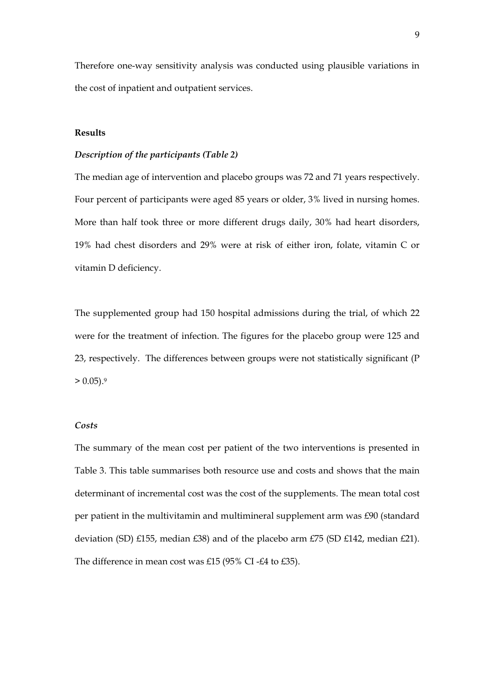Therefore one-way sensitivity analysis was conducted using plausible variations in the cost of inpatient and outpatient services.

## **Results**

## *Description of the participants (Table 2)*

The median age of intervention and placebo groups was 72 and 71 years respectively. Four percent of participants were aged 85 years or older, 3% lived in nursing homes. More than half took three or more different drugs daily, 30% had heart disorders, 19% had chest disorders and 29% were at risk of either iron, folate, vitamin C or vitamin D deficiency.

The supplemented group had 150 hospital admissions during the trial, of which 22 were for the treatment of infection. The figures for the placebo group were 125 and 23, respectively. The differences between groups were not statistically significant (P  $> 0.05$ ).<sup>9</sup>

#### *Costs*

The summary of the mean cost per patient of the two interventions is presented in Table 3. This table summarises both resource use and costs and shows that the main determinant of incremental cost was the cost of the supplements. The mean total cost per patient in the multivitamin and multimineral supplement arm was £90 (standard deviation (SD) £155, median £38) and of the placebo arm £75 (SD £142, median £21). The difference in mean cost was £15 (95% CI -£4 to £35).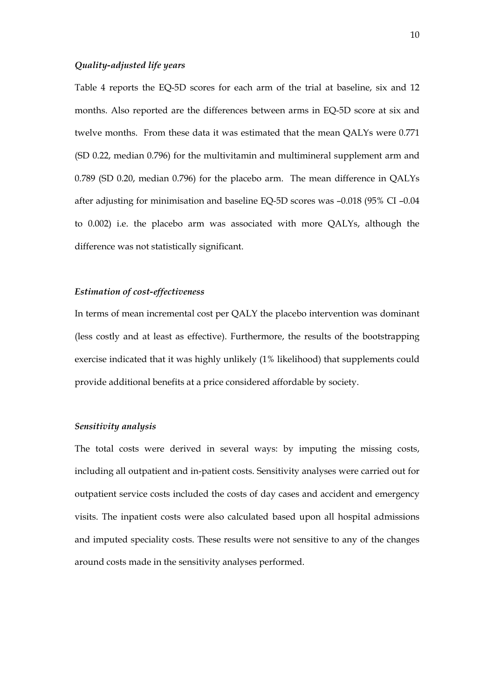### *Quality-adjusted life years*

Table 4 reports the EQ-5D scores for each arm of the trial at baseline, six and 12 months. Also reported are the differences between arms in EQ-5D score at six and twelve months. From these data it was estimated that the mean QALYs were 0.771 (SD 0.22, median 0.796) for the multivitamin and multimineral supplement arm and 0.789 (SD 0.20, median 0.796) for the placebo arm. The mean difference in QALYs after adjusting for minimisation and baseline EQ-5D scores was –0.018 (95% CI –0.04 to 0.002) i.e. the placebo arm was associated with more QALYs, although the difference was not statistically significant.

### *Estimation of cost-effectiveness*

In terms of mean incremental cost per QALY the placebo intervention was dominant (less costly and at least as effective). Furthermore, the results of the bootstrapping exercise indicated that it was highly unlikely (1% likelihood) that supplements could provide additional benefits at a price considered affordable by society.

## *Sensitivity analysis*

The total costs were derived in several ways: by imputing the missing costs, including all outpatient and in-patient costs. Sensitivity analyses were carried out for outpatient service costs included the costs of day cases and accident and emergency visits. The inpatient costs were also calculated based upon all hospital admissions and imputed speciality costs. These results were not sensitive to any of the changes around costs made in the sensitivity analyses performed.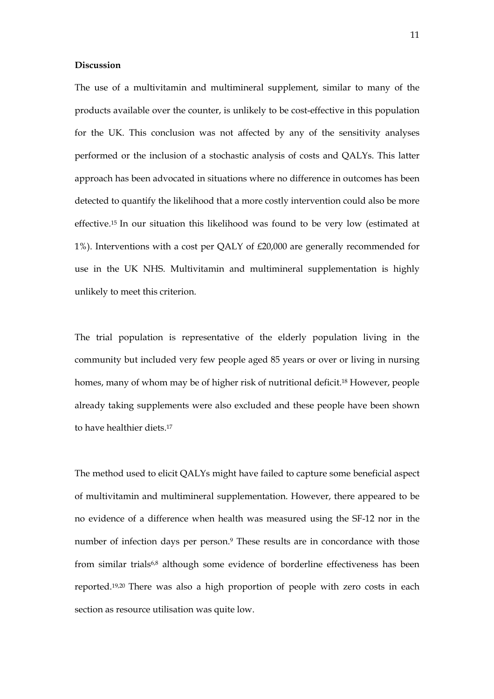#### **Discussion**

The use of a multivitamin and multimineral supplement, similar to many of the products available over the counter, is unlikely to be cost-effective in this population for the UK. This conclusion was not affected by any of the sensitivity analyses performed or the inclusion of a stochastic analysis of costs and QALYs. This latter approach has been advocated in situations where no difference in outcomes has been detected to quantify the likelihood that a more costly intervention could also be more effective.15 In our situation this likelihood was found to be very low (estimated at 1%). Interventions with a cost per QALY of £20,000 are generally recommended for use in the UK NHS. Multivitamin and multimineral supplementation is highly unlikely to meet this criterion.

The trial population is representative of the elderly population living in the community but included very few people aged 85 years or over or living in nursing homes, many of whom may be of higher risk of nutritional deficit.18 However, people already taking supplements were also excluded and these people have been shown to have healthier diets.17

The method used to elicit QALYs might have failed to capture some beneficial aspect of multivitamin and multimineral supplementation. However, there appeared to be no evidence of a difference when health was measured using the SF-12 nor in the number of infection days per person.<sup>9</sup> These results are in concordance with those from similar trials6,8 although some evidence of borderline effectiveness has been reported.19,20 There was also a high proportion of people with zero costs in each section as resource utilisation was quite low.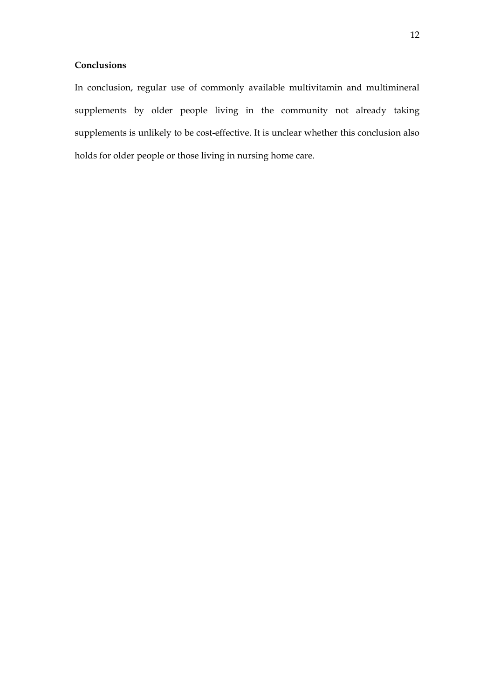## **Conclusions**

In conclusion, regular use of commonly available multivitamin and multimineral supplements by older people living in the community not already taking supplements is unlikely to be cost-effective. It is unclear whether this conclusion also holds for older people or those living in nursing home care.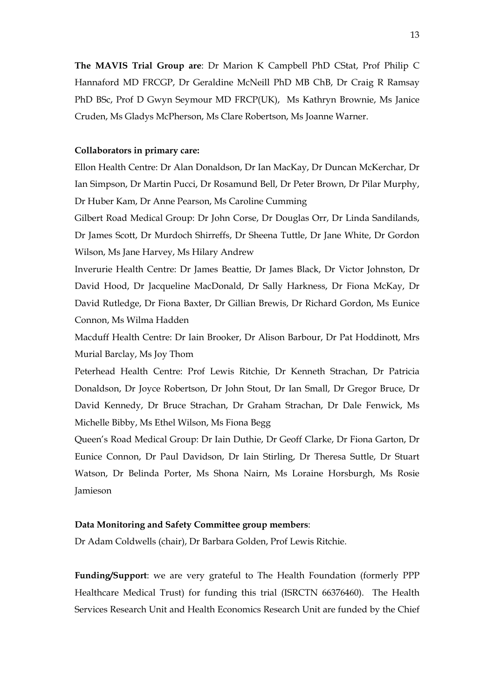**The MAVIS Trial Group are**: Dr Marion K Campbell PhD CStat, Prof Philip C Hannaford MD FRCGP, Dr Geraldine McNeill PhD MB ChB, Dr Craig R Ramsay PhD BSc, Prof D Gwyn Seymour MD FRCP(UK), Ms Kathryn Brownie, Ms Janice Cruden, Ms Gladys McPherson, Ms Clare Robertson, Ms Joanne Warner.

## **Collaborators in primary care:**

Ellon Health Centre: Dr Alan Donaldson, Dr Ian MacKay, Dr Duncan McKerchar, Dr Ian Simpson, Dr Martin Pucci, Dr Rosamund Bell, Dr Peter Brown, Dr Pilar Murphy, Dr Huber Kam, Dr Anne Pearson, Ms Caroline Cumming

Gilbert Road Medical Group: Dr John Corse, Dr Douglas Orr, Dr Linda Sandilands, Dr James Scott, Dr Murdoch Shirreffs, Dr Sheena Tuttle, Dr Jane White, Dr Gordon Wilson, Ms Jane Harvey, Ms Hilary Andrew

Inverurie Health Centre: Dr James Beattie, Dr James Black, Dr Victor Johnston, Dr David Hood, Dr Jacqueline MacDonald, Dr Sally Harkness, Dr Fiona McKay, Dr David Rutledge, Dr Fiona Baxter, Dr Gillian Brewis, Dr Richard Gordon, Ms Eunice Connon, Ms Wilma Hadden

Macduff Health Centre: Dr Iain Brooker, Dr Alison Barbour, Dr Pat Hoddinott, Mrs Murial Barclay, Ms Joy Thom

Peterhead Health Centre: Prof Lewis Ritchie, Dr Kenneth Strachan, Dr Patricia Donaldson, Dr Joyce Robertson, Dr John Stout, Dr Ian Small, Dr Gregor Bruce, Dr David Kennedy, Dr Bruce Strachan, Dr Graham Strachan, Dr Dale Fenwick, Ms Michelle Bibby, Ms Ethel Wilson, Ms Fiona Begg

Queen's Road Medical Group: Dr Iain Duthie, Dr Geoff Clarke, Dr Fiona Garton, Dr Eunice Connon, Dr Paul Davidson, Dr Iain Stirling, Dr Theresa Suttle, Dr Stuart Watson, Dr Belinda Porter, Ms Shona Nairn, Ms Loraine Horsburgh, Ms Rosie Jamieson

## **Data Monitoring and Safety Committee group members**:

Dr Adam Coldwells (chair), Dr Barbara Golden, Prof Lewis Ritchie.

**Funding/Support**: we are very grateful to The Health Foundation (formerly PPP Healthcare Medical Trust) for funding this trial (ISRCTN 66376460). The Health Services Research Unit and Health Economics Research Unit are funded by the Chief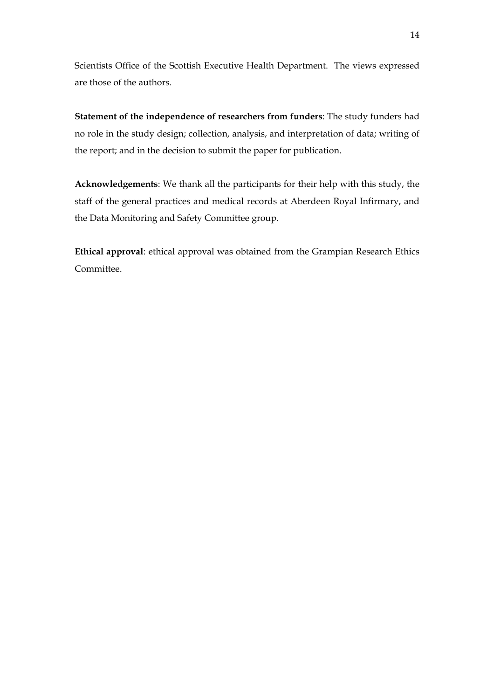Scientists Office of the Scottish Executive Health Department. The views expressed are those of the authors.

**Statement of the independence of researchers from funders**: The study funders had no role in the study design; collection, analysis, and interpretation of data; writing of the report; and in the decision to submit the paper for publication.

**Acknowledgements**: We thank all the participants for their help with this study, the staff of the general practices and medical records at Aberdeen Royal Infirmary, and the Data Monitoring and Safety Committee group.

**Ethical approval**: ethical approval was obtained from the Grampian Research Ethics Committee.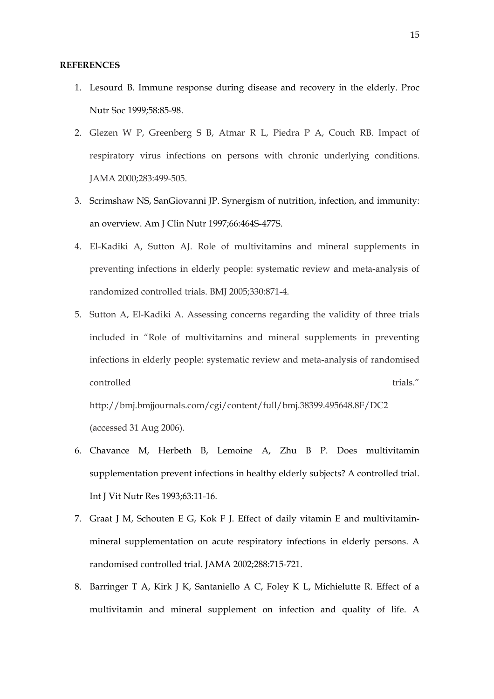#### **REFERENCES**

- 1. Lesourd B. Immune response during disease and recovery in the elderly. Proc Nutr Soc 1999;58:85-98.
- 2. Glezen W P, Greenberg S B, Atmar R L, Piedra P A, Couch RB. Impact of respiratory virus infections on persons with chronic underlying conditions. JAMA 2000;283:499-505.
- 3. Scrimshaw NS, SanGiovanni JP. Synergism of nutrition, infection, and immunity: an overview. Am J Clin Nutr 1997;66:464S-477S.
- 4. El-Kadiki A, Sutton AJ. Role of multivitamins and mineral supplements in preventing infections in elderly people: systematic review and meta-analysis of randomized controlled trials. BMJ 2005;330:871-4.
- 5. Sutton A, El-Kadiki A. Assessing concerns regarding the validity of three trials included in "Role of multivitamins and mineral supplements in preventing infections in elderly people: systematic review and meta-analysis of randomised  $\mathbf{c}$  ontrolled trials."

http://bmj.bmjjournals.com/cgi/content/full/bmj.38399.495648.8F/DC2 (accessed 31 Aug 2006).

- 6. Chavance M, Herbeth B, Lemoine A, Zhu B P. Does multivitamin supplementation prevent infections in healthy elderly subjects? A controlled trial. Int J Vit Nutr Res 1993;63:11-16.
- 7. Graat J M, Schouten E G, Kok F J. Effect of daily vitamin E and multivitaminmineral supplementation on acute respiratory infections in elderly persons. A randomised controlled trial. JAMA 2002;288:715-721.
- 8. Barringer T A, Kirk J K, Santaniello A C, Foley K L, Michielutte R. Effect of a multivitamin and mineral supplement on infection and quality of life. A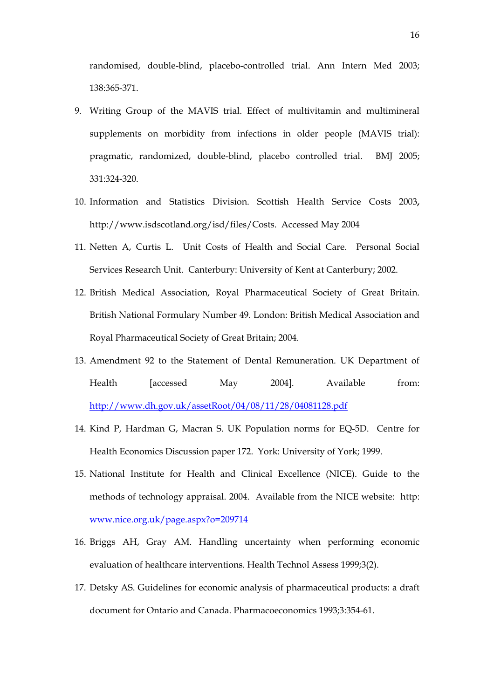randomised, double-blind, placebo-controlled trial. Ann Intern Med 2003; 138:365-371.

- 9. Writing Group of the MAVIS trial. Effect of multivitamin and multimineral supplements on morbidity from infections in older people (MAVIS trial): pragmatic, randomized, double-blind, placebo controlled trial. BMJ 2005; 331:324-320.
- 10. Information and Statistics Division. Scottish Health Service Costs 2003**,** [http://www.isdscotland.org/isd/files/Costs.](http://www.isdscotland.org/isd/files/Costs) Accessed May 2004
- 11. Netten A, Curtis L. Unit Costs of Health and Social Care. Personal Social Services Research Unit. Canterbury: University of Kent at Canterbury; 2002.
- 12. British Medical Association, Royal Pharmaceutical Society of Great Britain. British National Formulary Number 49. London: British Medical Association and Royal Pharmaceutical Society of Great Britain; 2004.
- 13. Amendment 92 to the Statement of Dental Remuneration. UK Department of Health [accessed May 2004]. Available from: <http://www.dh.gov.uk/assetRoot/04/08/11/28/04081128.pdf>
- 14. Kind P, Hardman G, Macran S. UK Population norms for EQ-5D. Centre for Health Economics Discussion paper 172. York: University of York; 1999.
- 15. National Institute for Health and Clinical Excellence (NICE). Guide to the methods of technology appraisal. 2004. Available from the NICE website: http: [www.nice.org.uk/page.aspx?o=209714](http://www.nice.org.uk/page.aspx?o=209714)
- 16. Briggs AH, Gray AM. Handling uncertainty when performing economic evaluation of healthcare interventions. Health Technol Assess 1999;3(2).
- 17. Detsky AS. Guidelines for economic analysis of pharmaceutical products: a draft document for Ontario and Canada. Pharmacoeconomics 1993;3:354-61.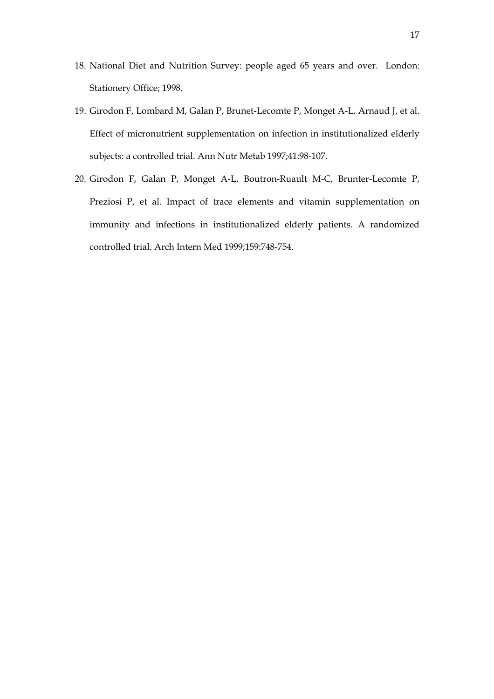- 18. National Diet and Nutrition Survey: people aged 65 years and over. London: Stationery Office; 1998.
- 19. Girodon F, Lombard M, Galan P, Brunet-Lecomte P, Monget A-L, Arnaud J, et al. Effect of micronutrient supplementation on infection in institutionalized elderly subjects: a controlled trial. Ann Nutr Metab 1997;41:98-107.
- 20. Girodon F, Galan P, Monget A-L, Boutron-Ruault M-C, Brunter-Lecomte P, Preziosi P, et al. Impact of trace elements and vitamin supplementation on immunity and infections in institutionalized elderly patients. A randomized controlled trial. Arch Intern Med 1999;159:748-754.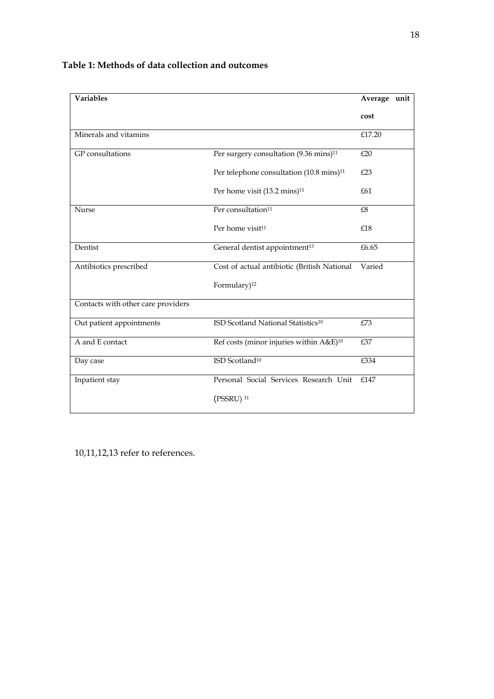| Variables                          |                                                      | Average unit |  |
|------------------------------------|------------------------------------------------------|--------------|--|
|                                    |                                                      | cost         |  |
| Minerals and vitamins              |                                                      | £17.20       |  |
| GP consultations                   | Per surgery consultation (9.36 mins) <sup>11</sup>   | £20          |  |
|                                    | Per telephone consultation (10.8 mins) <sup>11</sup> | £23          |  |
|                                    | Per home visit (13.2 mins) <sup>11</sup>             | £61          |  |
| Nurse                              | Per consultation <sup>11</sup>                       | £8           |  |
|                                    | Per home visit <sup>11</sup>                         | £18          |  |
| Dentist                            | General dentist appointment <sup>13</sup>            | £6.65        |  |
| Antibiotics prescribed             | Cost of actual antibiotic (British National          | Varied       |  |
|                                    | Formulary) <sup>12</sup>                             |              |  |
| Contacts with other care providers |                                                      |              |  |
| Out patient appointments           | ISD Scotland National Statistics <sup>10</sup>       | £73          |  |
| A and E contact                    | Ref costs (minor injuries within A&E) <sup>10</sup>  | £37          |  |
| Day case                           | ISD Scotland <sup>10</sup>                           | £334         |  |
| Inpatient stay                     | Personal Social Services Research Unit               |              |  |
|                                    | $($ PSSRU $)$ <sup>11</sup>                          |              |  |

## **Table 1: Methods of data collection and outcomes**

10,11,12,13 refer to references.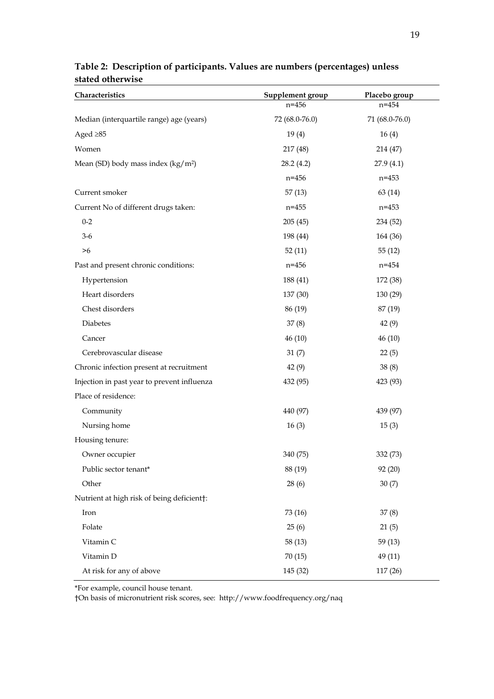| Characteristics                             | Supplement group | Placebo group  |
|---------------------------------------------|------------------|----------------|
|                                             | $n = 456$        | $n = 454$      |
| Median (interquartile range) age (years)    | 72 (68.0-76.0)   | 71 (68.0-76.0) |
| Aged $\geq 85$                              | 19(4)            | 16(4)          |
| Women                                       | 217 (48)         | 214 (47)       |
| Mean (SD) body mass index $(kg/m2)$         | 28.2(4.2)        | 27.9(4.1)      |
|                                             | $n = 456$        | $n = 453$      |
| Current smoker                              | 57(13)           | 63 (14)        |
| Current No of different drugs taken:        | $n = 455$        | $n = 453$      |
| $0 - 2$                                     | 205(45)          | 234 (52)       |
| $3-6$                                       | 198 (44)         | 164 (36)       |
| >6                                          | 52(11)           | 55(12)         |
| Past and present chronic conditions:        | $n = 456$        | $n = 454$      |
| Hypertension                                | 188 (41)         | 172 (38)       |
| Heart disorders                             | 137 (30)         | 130 (29)       |
| Chest disorders                             | 86 (19)          | 87 (19)        |
| Diabetes                                    | 37(8)            | 42(9)          |
| Cancer                                      | 46 (10)          | 46(10)         |
| Cerebrovascular disease                     | 31(7)            | 22(5)          |
| Chronic infection present at recruitment    | 42(9)            | 38(8)          |
| Injection in past year to prevent influenza | 432 (95)         | 423 (93)       |
| Place of residence:                         |                  |                |
| Community                                   | 440 (97)         | 439 (97)       |
| Nursing home                                | 16(3)            | 15(3)          |
| Housing tenure:                             |                  |                |
| Owner occupier                              | 340 (75)         | 332 (73)       |
| Public sector tenant*                       | 88 (19)          | 92 (20)        |
| Other                                       | 28(6)            | 30(7)          |
| Nutrient at high risk of being deficient†:  |                  |                |
| Iron                                        | 73 (16)          | 37(8)          |
| Folate                                      | 25(6)            | 21(5)          |
| Vitamin C                                   | 58 (13)          | 59(13)         |
| Vitamin D                                   | 70(15)           | 49 (11)        |
| At risk for any of above                    | 145 (32)         | 117 (26)       |

## **Table 2: Description of participants. Values are numbers (percentages) unless stated otherwise**

\*For example, council house tenant.

†On basis of micronutrient risk scores, see: http://www.foodfrequency.org/naq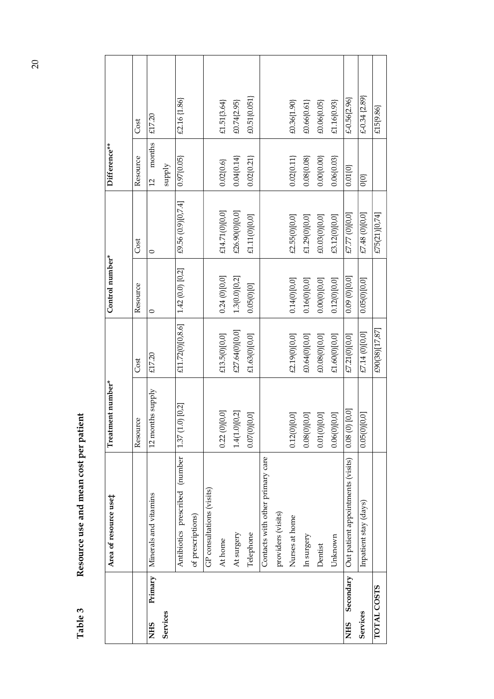|                         | Area of resource use‡             | Treatment number* |                  | Control number*   |                    | Difference**            |                   |
|-------------------------|-----------------------------------|-------------------|------------------|-------------------|--------------------|-------------------------|-------------------|
|                         |                                   | Resource          | Cost             | Resource          | Cost               | Resource                | Cost              |
| Primary<br><b>NHS</b>   | Minerals and vitamins             | 12 months supply  | £17.20           | $\circ$           | $\circ$            | months<br>$\frac{1}{2}$ | £17.20            |
| Services                |                                   |                   |                  |                   |                    | supply                  |                   |
|                         | Antibiotics prescribed (number    | $1.37(1.0)$ [0.2] | £11.72(0)[0,8.6] | $1.42(0.0)$ [0.2] | £9.56 (0.9)[0,7.4] | 0.97(0.05)              | £2.16 {1.86}      |
|                         | of prescriptions)                 |                   |                  |                   |                    |                         |                   |
|                         | GP consultations (visits)         |                   |                  |                   |                    |                         |                   |
|                         | At home                           | 0.22(0)[0,0]      | £13.5(0)[0,0]    | 0.24(0)[0,0]      | £14.71(0)[0,0]     | $0.02\{0.6\}$           | £1.51{3.64}       |
|                         | At surgery                        | 1.4(1.0)[0,2]     | £27.64(0)[0,0]   | 1.3(0.0)[0,2]     | £26.90(0)[0,0]     | $0.04\{0.14\}$          | £0.74{2.95}       |
|                         | Telephone                         | 0.07(0)[0,0]      | £1.63(0)[0,0]    | 0.05(0)[0]        | £1.11(0)[0,0]      | 0.02(0.21)              | £0.51(0.051)      |
|                         | Contacts with other primary care  |                   |                  |                   |                    |                         |                   |
|                         | providers (visits)                |                   |                  |                   |                    |                         |                   |
|                         | Nurses at home                    | 0.12(0)[0,0]      | £2.19(0)[0,0]    | 0.14(0)[0,0]      | £2.55(0)[0,0]      | $0.02\{0.11\}$          | £0.36{1.90}       |
|                         | In surgery                        | 0.08(0)[0,0]      | £0.64(0)[0,0]    | 0.16(0)[0,0]      | £1.29(0)[0,0]      | 0.08(0.08)              | £0.66{0.61}       |
|                         | Dentist                           | 0.01(0)[0,0]      | £0.08(0)[0,0]    | 0.00(0)[0,0]      | £0.03(0)[0,0]      | 0.00(0.00)              | £0.06{0.05}       |
|                         | Unknown                           | 0.06(0)[0,0]      | £1.60(0)[0,0]    | 0.12(0)[0,0]      | £3.12(0)[0,0]      | 0.06(0.03)              | £1.16{0.93}       |
| Secondary<br><b>NHS</b> | Out patient appointments (visits) | $0.08(0)$ [0,0]   | £7.21(0)[0,0]    | 0.09(0)[0,0]      | £7.77 (0) [0,0]    | $0.01\{0\}$             | $£-0.56{2.96}$    |
| Services                | Inpatient stay (days)             | 0.05(0)[0,0]      | £7.14 (0)[0,0]   | 0.05(0)[0,0]      | £7.48 (0)[0,0]     | Q{O}                    | $£-0.34$ $(2.89)$ |
| TOTAL COSTS             |                                   |                   | £90(38)[17,87]   |                   | £75(21)[0,74]      |                         | £15{9.86}         |

Resource use and mean cost per patient **Table 3 Resource use and mean cost per patient**  Table 3

20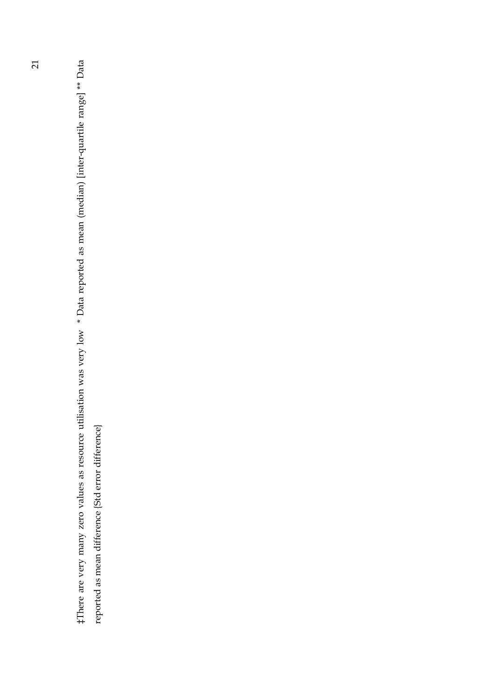#There are very many zero values as resource utilisation was very low \* Data reported as mean (median) [inter-quartile range] \*\* Data ‡There are very many zero values as resource utilisation was very low \* Data reported as mean (median) [inter-quartile range] \*\* Data reported as mean difference {Std error difference} reported as mean difference {Std error difference}